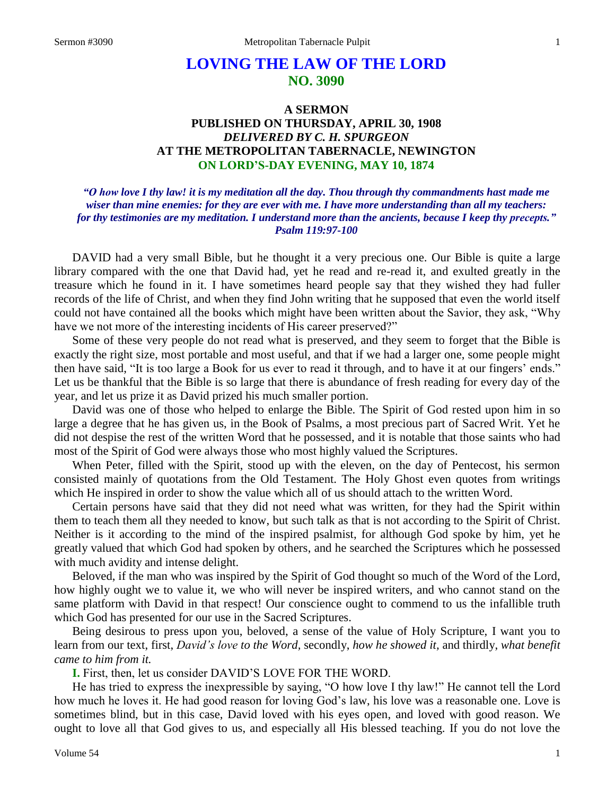# **LOVING THE LAW OF THE LORD NO. 3090**

# **A SERMON PUBLISHED ON THURSDAY, APRIL 30, 1908** *DELIVERED BY C. H. SPURGEON* **AT THE METROPOLITAN TABERNACLE, NEWINGTON ON LORD'S-DAY EVENING, MAY 10, 1874**

# *"O how love I thy law! it is my meditation all the day. Thou through thy commandments hast made me wiser than mine enemies: for they are ever with me. I have more understanding than all my teachers: for thy testimonies are my meditation. I understand more than the ancients, because I keep thy precepts." Psalm 119:97-100*

DAVID had a very small Bible, but he thought it a very precious one. Our Bible is quite a large library compared with the one that David had, yet he read and re-read it, and exulted greatly in the treasure which he found in it. I have sometimes heard people say that they wished they had fuller records of the life of Christ, and when they find John writing that he supposed that even the world itself could not have contained all the books which might have been written about the Savior, they ask, "Why have we not more of the interesting incidents of His career preserved?"

Some of these very people do not read what is preserved, and they seem to forget that the Bible is exactly the right size, most portable and most useful, and that if we had a larger one, some people might then have said, "It is too large a Book for us ever to read it through, and to have it at our fingers' ends." Let us be thankful that the Bible is so large that there is abundance of fresh reading for every day of the year, and let us prize it as David prized his much smaller portion.

David was one of those who helped to enlarge the Bible. The Spirit of God rested upon him in so large a degree that he has given us, in the Book of Psalms, a most precious part of Sacred Writ. Yet he did not despise the rest of the written Word that he possessed, and it is notable that those saints who had most of the Spirit of God were always those who most highly valued the Scriptures.

When Peter, filled with the Spirit, stood up with the eleven, on the day of Pentecost, his sermon consisted mainly of quotations from the Old Testament. The Holy Ghost even quotes from writings which He inspired in order to show the value which all of us should attach to the written Word.

Certain persons have said that they did not need what was written, for they had the Spirit within them to teach them all they needed to know, but such talk as that is not according to the Spirit of Christ. Neither is it according to the mind of the inspired psalmist, for although God spoke by him, yet he greatly valued that which God had spoken by others, and he searched the Scriptures which he possessed with much avidity and intense delight.

Beloved, if the man who was inspired by the Spirit of God thought so much of the Word of the Lord, how highly ought we to value it, we who will never be inspired writers, and who cannot stand on the same platform with David in that respect! Our conscience ought to commend to us the infallible truth which God has presented for our use in the Sacred Scriptures.

Being desirous to press upon you, beloved, a sense of the value of Holy Scripture, I want you to learn from our text, first, *David's love to the Word,* secondly, *how he showed it,* and thirdly, *what benefit came to him from it.* 

**I.** First, then, let us consider DAVID'S LOVE FOR THE WORD.

He has tried to express the inexpressible by saying, "O how love I thy law!" He cannot tell the Lord how much he loves it. He had good reason for loving God's law, his love was a reasonable one. Love is sometimes blind, but in this case, David loved with his eyes open, and loved with good reason. We ought to love all that God gives to us, and especially all His blessed teaching. If you do not love the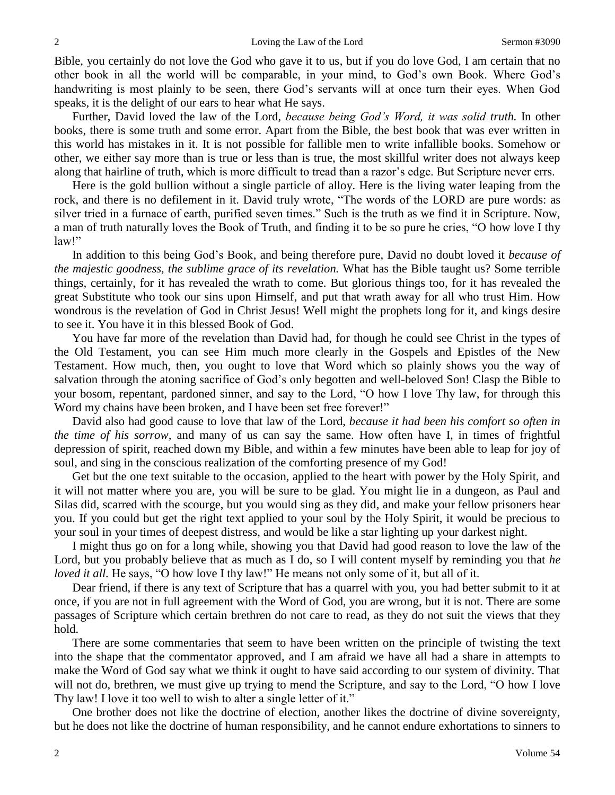Bible, you certainly do not love the God who gave it to us, but if you do love God, I am certain that no other book in all the world will be comparable, in your mind, to God's own Book. Where God's handwriting is most plainly to be seen, there God's servants will at once turn their eyes. When God speaks, it is the delight of our ears to hear what He says.

Further, David loved the law of the Lord, *because being God's Word, it was solid truth.* In other books, there is some truth and some error. Apart from the Bible, the best book that was ever written in this world has mistakes in it. It is not possible for fallible men to write infallible books. Somehow or other, we either say more than is true or less than is true, the most skillful writer does not always keep along that hairline of truth, which is more difficult to tread than a razor's edge. But Scripture never errs.

Here is the gold bullion without a single particle of alloy. Here is the living water leaping from the rock, and there is no defilement in it. David truly wrote, "The words of the LORD are pure words: as silver tried in a furnace of earth, purified seven times." Such is the truth as we find it in Scripture. Now, a man of truth naturally loves the Book of Truth, and finding it to be so pure he cries, "O how love I thy law!"

In addition to this being God's Book, and being therefore pure, David no doubt loved it *because of the majestic goodness, the sublime grace of its revelation.* What has the Bible taught us? Some terrible things, certainly, for it has revealed the wrath to come. But glorious things too, for it has revealed the great Substitute who took our sins upon Himself, and put that wrath away for all who trust Him. How wondrous is the revelation of God in Christ Jesus! Well might the prophets long for it, and kings desire to see it. You have it in this blessed Book of God.

You have far more of the revelation than David had, for though he could see Christ in the types of the Old Testament, you can see Him much more clearly in the Gospels and Epistles of the New Testament. How much, then, you ought to love that Word which so plainly shows you the way of salvation through the atoning sacrifice of God's only begotten and well-beloved Son! Clasp the Bible to your bosom, repentant, pardoned sinner, and say to the Lord, "O how I love Thy law, for through this Word my chains have been broken, and I have been set free forever!"

David also had good cause to love that law of the Lord, *because it had been his comfort so often in the time of his sorrow,* and many of us can say the same. How often have I, in times of frightful depression of spirit, reached down my Bible, and within a few minutes have been able to leap for joy of soul, and sing in the conscious realization of the comforting presence of my God!

Get but the one text suitable to the occasion, applied to the heart with power by the Holy Spirit, and it will not matter where you are, you will be sure to be glad. You might lie in a dungeon, as Paul and Silas did, scarred with the scourge, but you would sing as they did, and make your fellow prisoners hear you. If you could but get the right text applied to your soul by the Holy Spirit, it would be precious to your soul in your times of deepest distress, and would be like a star lighting up your darkest night.

I might thus go on for a long while, showing you that David had good reason to love the law of the Lord, but you probably believe that as much as I do, so I will content myself by reminding you that *he loved it all.* He says, "O how love I thy law!" He means not only some of it, but all of it.

Dear friend, if there is any text of Scripture that has a quarrel with you, you had better submit to it at once, if you are not in full agreement with the Word of God, you are wrong, but it is not. There are some passages of Scripture which certain brethren do not care to read, as they do not suit the views that they hold.

There are some commentaries that seem to have been written on the principle of twisting the text into the shape that the commentator approved, and I am afraid we have all had a share in attempts to make the Word of God say what we think it ought to have said according to our system of divinity. That will not do, brethren, we must give up trying to mend the Scripture, and say to the Lord, "O how I love Thy law! I love it too well to wish to alter a single letter of it."

One brother does not like the doctrine of election, another likes the doctrine of divine sovereignty, but he does not like the doctrine of human responsibility, and he cannot endure exhortations to sinners to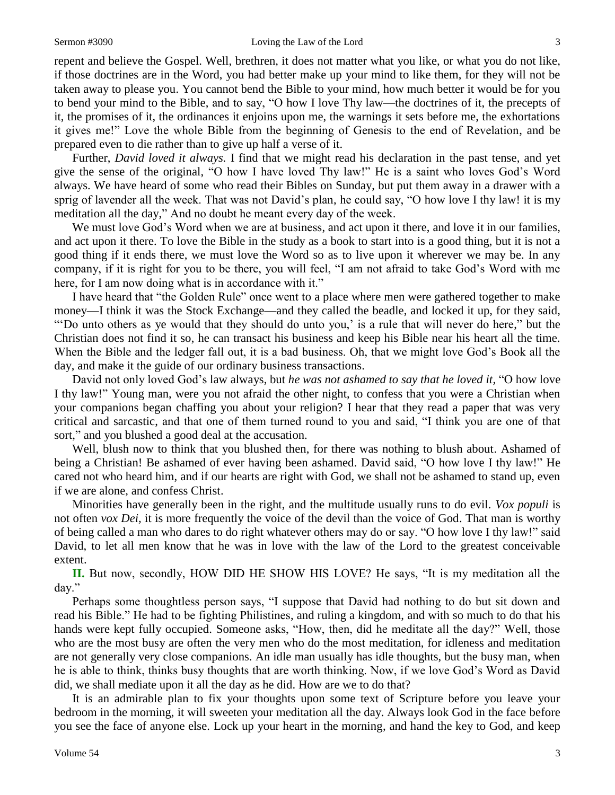repent and believe the Gospel. Well, brethren, it does not matter what you like, or what you do not like, if those doctrines are in the Word, you had better make up your mind to like them, for they will not be taken away to please you. You cannot bend the Bible to your mind, how much better it would be for you to bend your mind to the Bible, and to say, "O how I love Thy law—the doctrines of it, the precepts of it, the promises of it, the ordinances it enjoins upon me, the warnings it sets before me, the exhortations it gives me!" Love the whole Bible from the beginning of Genesis to the end of Revelation, and be prepared even to die rather than to give up half a verse of it.

Further, *David loved it always.* I find that we might read his declaration in the past tense, and yet give the sense of the original, "O how I have loved Thy law!" He is a saint who loves God's Word always. We have heard of some who read their Bibles on Sunday, but put them away in a drawer with a sprig of lavender all the week. That was not David's plan, he could say, "O how love I thy law! it is my meditation all the day," And no doubt he meant every day of the week.

We must love God's Word when we are at business, and act upon it there, and love it in our families, and act upon it there. To love the Bible in the study as a book to start into is a good thing, but it is not a good thing if it ends there, we must love the Word so as to live upon it wherever we may be. In any company, if it is right for you to be there, you will feel, "I am not afraid to take God's Word with me here, for I am now doing what is in accordance with it."

I have heard that "the Golden Rule" once went to a place where men were gathered together to make money—I think it was the Stock Exchange—and they called the beadle, and locked it up, for they said, "'Do unto others as ye would that they should do unto you,' is a rule that will never do here," but the Christian does not find it so, he can transact his business and keep his Bible near his heart all the time. When the Bible and the ledger fall out, it is a bad business. Oh, that we might love God's Book all the day, and make it the guide of our ordinary business transactions.

David not only loved God's law always, but *he was not ashamed to say that he loved it,* "O how love I thy law!" Young man, were you not afraid the other night, to confess that you were a Christian when your companions began chaffing you about your religion? I hear that they read a paper that was very critical and sarcastic, and that one of them turned round to you and said, "I think you are one of that sort," and you blushed a good deal at the accusation.

Well, blush now to think that you blushed then, for there was nothing to blush about. Ashamed of being a Christian! Be ashamed of ever having been ashamed. David said, "O how love I thy law!" He cared not who heard him, and if our hearts are right with God, we shall not be ashamed to stand up, even if we are alone, and confess Christ.

Minorities have generally been in the right, and the multitude usually runs to do evil. *Vox populi* is not often *vox Dei,* it is more frequently the voice of the devil than the voice of God. That man is worthy of being called a man who dares to do right whatever others may do or say. "O how love I thy law!" said David, to let all men know that he was in love with the law of the Lord to the greatest conceivable extent.

**II.** But now, secondly, HOW DID HE SHOW HIS LOVE? He says, "It is my meditation all the day."

Perhaps some thoughtless person says, "I suppose that David had nothing to do but sit down and read his Bible." He had to be fighting Philistines, and ruling a kingdom, and with so much to do that his hands were kept fully occupied. Someone asks, "How, then, did he meditate all the day?" Well, those who are the most busy are often the very men who do the most meditation, for idleness and meditation are not generally very close companions. An idle man usually has idle thoughts, but the busy man, when he is able to think, thinks busy thoughts that are worth thinking. Now, if we love God's Word as David did, we shall mediate upon it all the day as he did. How are we to do that?

It is an admirable plan to fix your thoughts upon some text of Scripture before you leave your bedroom in the morning, it will sweeten your meditation all the day. Always look God in the face before you see the face of anyone else. Lock up your heart in the morning, and hand the key to God, and keep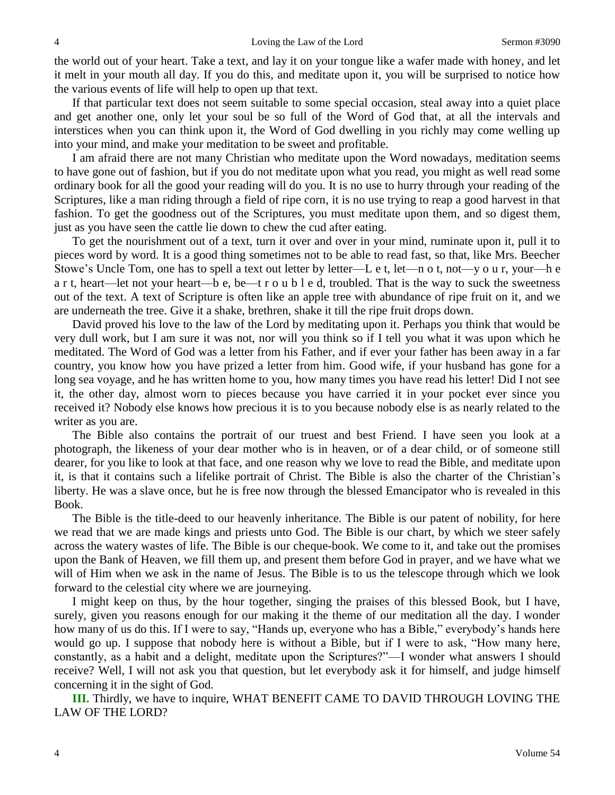the world out of your heart. Take a text, and lay it on your tongue like a wafer made with honey, and let it melt in your mouth all day. If you do this, and meditate upon it, you will be surprised to notice how the various events of life will help to open up that text.

If that particular text does not seem suitable to some special occasion, steal away into a quiet place and get another one, only let your soul be so full of the Word of God that, at all the intervals and interstices when you can think upon it, the Word of God dwelling in you richly may come welling up into your mind, and make your meditation to be sweet and profitable.

I am afraid there are not many Christian who meditate upon the Word nowadays, meditation seems to have gone out of fashion, but if you do not meditate upon what you read, you might as well read some ordinary book for all the good your reading will do you. It is no use to hurry through your reading of the Scriptures, like a man riding through a field of ripe corn, it is no use trying to reap a good harvest in that fashion. To get the goodness out of the Scriptures, you must meditate upon them, and so digest them, just as you have seen the cattle lie down to chew the cud after eating.

To get the nourishment out of a text, turn it over and over in your mind, ruminate upon it, pull it to pieces word by word. It is a good thing sometimes not to be able to read fast, so that, like Mrs. Beecher Stowe's Uncle Tom, one has to spell a text out letter by letter—L e t, let—n o t, not—y o u r, your—h e a r t, heart—let not your heart—b e, be—t r o u b l e d, troubled. That is the way to suck the sweetness out of the text. A text of Scripture is often like an apple tree with abundance of ripe fruit on it, and we are underneath the tree. Give it a shake, brethren, shake it till the ripe fruit drops down.

David proved his love to the law of the Lord by meditating upon it. Perhaps you think that would be very dull work, but I am sure it was not, nor will you think so if I tell you what it was upon which he meditated. The Word of God was a letter from his Father, and if ever your father has been away in a far country, you know how you have prized a letter from him. Good wife, if your husband has gone for a long sea voyage, and he has written home to you, how many times you have read his letter! Did I not see it, the other day, almost worn to pieces because you have carried it in your pocket ever since you received it? Nobody else knows how precious it is to you because nobody else is as nearly related to the writer as you are.

The Bible also contains the portrait of our truest and best Friend. I have seen you look at a photograph, the likeness of your dear mother who is in heaven, or of a dear child, or of someone still dearer, for you like to look at that face, and one reason why we love to read the Bible, and meditate upon it, is that it contains such a lifelike portrait of Christ. The Bible is also the charter of the Christian's liberty. He was a slave once, but he is free now through the blessed Emancipator who is revealed in this Book.

The Bible is the title-deed to our heavenly inheritance. The Bible is our patent of nobility, for here we read that we are made kings and priests unto God. The Bible is our chart, by which we steer safely across the watery wastes of life. The Bible is our cheque-book. We come to it, and take out the promises upon the Bank of Heaven, we fill them up, and present them before God in prayer, and we have what we will of Him when we ask in the name of Jesus. The Bible is to us the telescope through which we look forward to the celestial city where we are journeying.

I might keep on thus, by the hour together, singing the praises of this blessed Book, but I have, surely, given you reasons enough for our making it the theme of our meditation all the day. I wonder how many of us do this. If I were to say, "Hands up, everyone who has a Bible," everybody's hands here would go up. I suppose that nobody here is without a Bible, but if I were to ask, "How many here, constantly, as a habit and a delight, meditate upon the Scriptures?"—I wonder what answers I should receive? Well, I will not ask you that question, but let everybody ask it for himself, and judge himself concerning it in the sight of God.

**III.** Thirdly, we have to inquire, WHAT BENEFIT CAME TO DAVID THROUGH LOVING THE LAW OF THE LORD?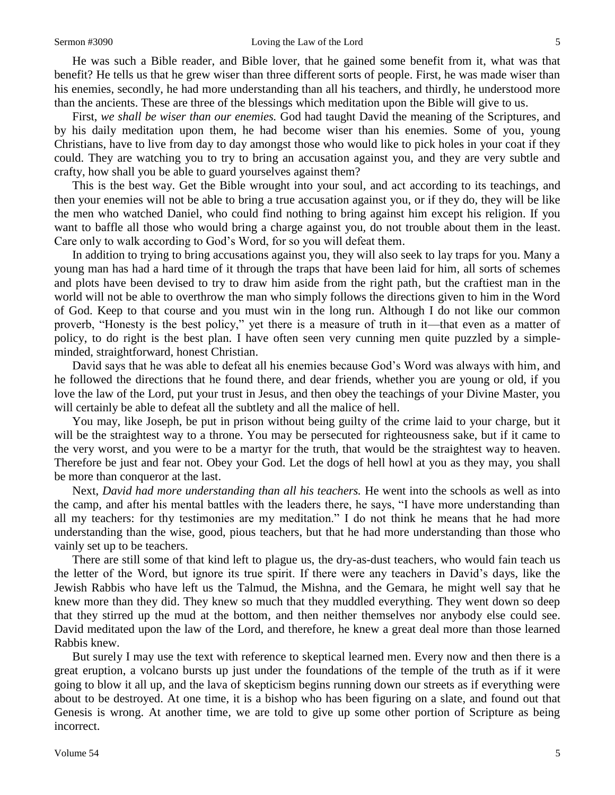He was such a Bible reader, and Bible lover, that he gained some benefit from it, what was that benefit? He tells us that he grew wiser than three different sorts of people. First, he was made wiser than his enemies, secondly, he had more understanding than all his teachers, and thirdly, he understood more than the ancients. These are three of the blessings which meditation upon the Bible will give to us.

First, *we shall be wiser than our enemies.* God had taught David the meaning of the Scriptures, and by his daily meditation upon them, he had become wiser than his enemies. Some of you, young Christians, have to live from day to day amongst those who would like to pick holes in your coat if they could. They are watching you to try to bring an accusation against you, and they are very subtle and crafty, how shall you be able to guard yourselves against them?

This is the best way. Get the Bible wrought into your soul, and act according to its teachings, and then your enemies will not be able to bring a true accusation against you, or if they do, they will be like the men who watched Daniel, who could find nothing to bring against him except his religion. If you want to baffle all those who would bring a charge against you, do not trouble about them in the least. Care only to walk according to God's Word, for so you will defeat them.

In addition to trying to bring accusations against you, they will also seek to lay traps for you. Many a young man has had a hard time of it through the traps that have been laid for him, all sorts of schemes and plots have been devised to try to draw him aside from the right path, but the craftiest man in the world will not be able to overthrow the man who simply follows the directions given to him in the Word of God. Keep to that course and you must win in the long run. Although I do not like our common proverb, "Honesty is the best policy," yet there is a measure of truth in it—that even as a matter of policy, to do right is the best plan. I have often seen very cunning men quite puzzled by a simpleminded, straightforward, honest Christian.

David says that he was able to defeat all his enemies because God's Word was always with him, and he followed the directions that he found there, and dear friends, whether you are young or old, if you love the law of the Lord, put your trust in Jesus, and then obey the teachings of your Divine Master, you will certainly be able to defeat all the subtlety and all the malice of hell.

You may, like Joseph, be put in prison without being guilty of the crime laid to your charge, but it will be the straightest way to a throne. You may be persecuted for righteousness sake, but if it came to the very worst, and you were to be a martyr for the truth, that would be the straightest way to heaven. Therefore be just and fear not. Obey your God. Let the dogs of hell howl at you as they may, you shall be more than conqueror at the last.

Next, *David had more understanding than all his teachers.* He went into the schools as well as into the camp, and after his mental battles with the leaders there, he says, "I have more understanding than all my teachers: for thy testimonies are my meditation." I do not think he means that he had more understanding than the wise, good, pious teachers, but that he had more understanding than those who vainly set up to be teachers.

There are still some of that kind left to plague us, the dry-as-dust teachers, who would fain teach us the letter of the Word, but ignore its true spirit. If there were any teachers in David's days, like the Jewish Rabbis who have left us the Talmud, the Mishna, and the Gemara, he might well say that he knew more than they did. They knew so much that they muddled everything. They went down so deep that they stirred up the mud at the bottom, and then neither themselves nor anybody else could see. David meditated upon the law of the Lord, and therefore, he knew a great deal more than those learned Rabbis knew.

But surely I may use the text with reference to skeptical learned men. Every now and then there is a great eruption, a volcano bursts up just under the foundations of the temple of the truth as if it were going to blow it all up, and the lava of skepticism begins running down our streets as if everything were about to be destroyed. At one time, it is a bishop who has been figuring on a slate, and found out that Genesis is wrong. At another time, we are told to give up some other portion of Scripture as being incorrect.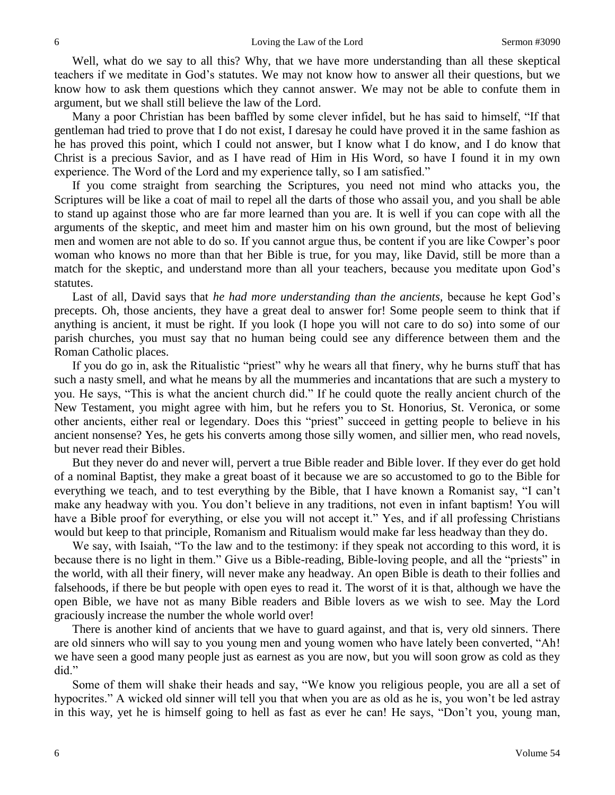Well, what do we say to all this? Why, that we have more understanding than all these skeptical teachers if we meditate in God's statutes. We may not know how to answer all their questions, but we know how to ask them questions which they cannot answer. We may not be able to confute them in argument, but we shall still believe the law of the Lord.

Many a poor Christian has been baffled by some clever infidel, but he has said to himself, "If that gentleman had tried to prove that I do not exist, I daresay he could have proved it in the same fashion as he has proved this point, which I could not answer, but I know what I do know, and I do know that Christ is a precious Savior, and as I have read of Him in His Word, so have I found it in my own experience. The Word of the Lord and my experience tally, so I am satisfied."

If you come straight from searching the Scriptures, you need not mind who attacks you, the Scriptures will be like a coat of mail to repel all the darts of those who assail you, and you shall be able to stand up against those who are far more learned than you are. It is well if you can cope with all the arguments of the skeptic, and meet him and master him on his own ground, but the most of believing men and women are not able to do so. If you cannot argue thus, be content if you are like Cowper's poor woman who knows no more than that her Bible is true, for you may, like David, still be more than a match for the skeptic, and understand more than all your teachers, because you meditate upon God's statutes.

Last of all, David says that *he had more understanding than the ancients,* because he kept God's precepts. Oh, those ancients, they have a great deal to answer for! Some people seem to think that if anything is ancient, it must be right. If you look (I hope you will not care to do so) into some of our parish churches, you must say that no human being could see any difference between them and the Roman Catholic places.

If you do go in, ask the Ritualistic "priest" why he wears all that finery, why he burns stuff that has such a nasty smell, and what he means by all the mummeries and incantations that are such a mystery to you. He says, "This is what the ancient church did." If he could quote the really ancient church of the New Testament, you might agree with him, but he refers you to St. Honorius, St. Veronica, or some other ancients, either real or legendary. Does this "priest" succeed in getting people to believe in his ancient nonsense? Yes, he gets his converts among those silly women, and sillier men, who read novels, but never read their Bibles.

But they never do and never will, pervert a true Bible reader and Bible lover. If they ever do get hold of a nominal Baptist, they make a great boast of it because we are so accustomed to go to the Bible for everything we teach, and to test everything by the Bible, that I have known a Romanist say, "I can't make any headway with you. You don't believe in any traditions, not even in infant baptism! You will have a Bible proof for everything, or else you will not accept it." Yes, and if all professing Christians would but keep to that principle, Romanism and Ritualism would make far less headway than they do.

We say, with Isaiah, "To the law and to the testimony: if they speak not according to this word, it is because there is no light in them." Give us a Bible-reading, Bible-loving people, and all the "priests" in the world, with all their finery, will never make any headway. An open Bible is death to their follies and falsehoods, if there be but people with open eyes to read it. The worst of it is that, although we have the open Bible, we have not as many Bible readers and Bible lovers as we wish to see. May the Lord graciously increase the number the whole world over!

There is another kind of ancients that we have to guard against, and that is, very old sinners. There are old sinners who will say to you young men and young women who have lately been converted, "Ah! we have seen a good many people just as earnest as you are now, but you will soon grow as cold as they did."

Some of them will shake their heads and say, "We know you religious people, you are all a set of hypocrites." A wicked old sinner will tell you that when you are as old as he is, you won't be led astray in this way, yet he is himself going to hell as fast as ever he can! He says, "Don't you, young man,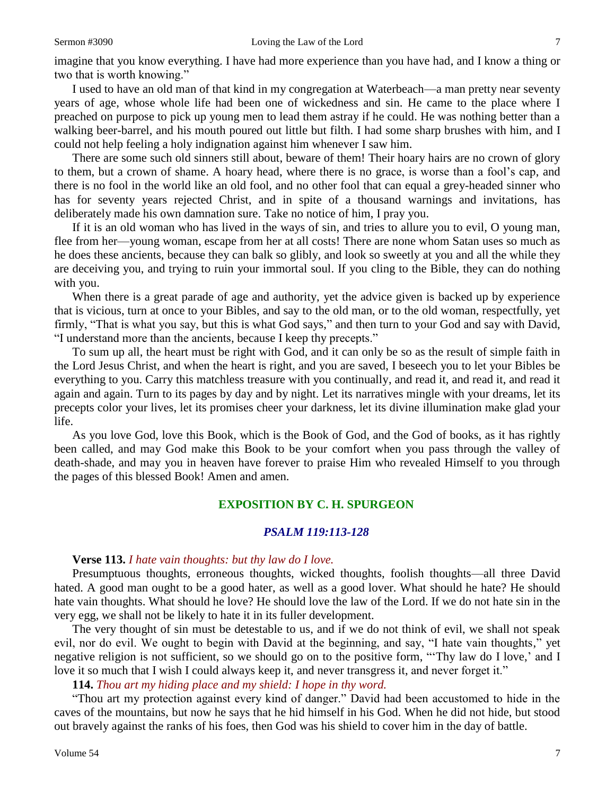imagine that you know everything. I have had more experience than you have had, and I know a thing or two that is worth knowing."

I used to have an old man of that kind in my congregation at Waterbeach—a man pretty near seventy years of age, whose whole life had been one of wickedness and sin. He came to the place where I preached on purpose to pick up young men to lead them astray if he could. He was nothing better than a walking beer-barrel, and his mouth poured out little but filth. I had some sharp brushes with him, and I could not help feeling a holy indignation against him whenever I saw him.

There are some such old sinners still about, beware of them! Their hoary hairs are no crown of glory to them, but a crown of shame. A hoary head, where there is no grace, is worse than a fool's cap, and there is no fool in the world like an old fool, and no other fool that can equal a grey-headed sinner who has for seventy years rejected Christ, and in spite of a thousand warnings and invitations, has deliberately made his own damnation sure. Take no notice of him, I pray you.

If it is an old woman who has lived in the ways of sin, and tries to allure you to evil, O young man, flee from her—young woman, escape from her at all costs! There are none whom Satan uses so much as he does these ancients, because they can balk so glibly, and look so sweetly at you and all the while they are deceiving you, and trying to ruin your immortal soul. If you cling to the Bible, they can do nothing with you.

When there is a great parade of age and authority, yet the advice given is backed up by experience that is vicious, turn at once to your Bibles, and say to the old man, or to the old woman, respectfully, yet firmly, "That is what you say, but this is what God says," and then turn to your God and say with David, "I understand more than the ancients, because I keep thy precepts."

To sum up all, the heart must be right with God, and it can only be so as the result of simple faith in the Lord Jesus Christ, and when the heart is right, and you are saved, I beseech you to let your Bibles be everything to you. Carry this matchless treasure with you continually, and read it, and read it, and read it again and again. Turn to its pages by day and by night. Let its narratives mingle with your dreams, let its precepts color your lives, let its promises cheer your darkness, let its divine illumination make glad your life.

As you love God, love this Book, which is the Book of God, and the God of books, as it has rightly been called, and may God make this Book to be your comfort when you pass through the valley of death-shade, and may you in heaven have forever to praise Him who revealed Himself to you through the pages of this blessed Book! Amen and amen.

# **EXPOSITION BY C. H. SPURGEON**

# *PSALM 119:113-128*

#### **Verse 113.** *I hate vain thoughts: but thy law do I love.*

Presumptuous thoughts, erroneous thoughts, wicked thoughts, foolish thoughts—all three David hated. A good man ought to be a good hater, as well as a good lover. What should he hate? He should hate vain thoughts. What should he love? He should love the law of the Lord. If we do not hate sin in the very egg, we shall not be likely to hate it in its fuller development.

The very thought of sin must be detestable to us, and if we do not think of evil, we shall not speak evil, nor do evil. We ought to begin with David at the beginning, and say, "I hate vain thoughts," yet negative religion is not sufficient, so we should go on to the positive form, "'Thy law do I love,' and I love it so much that I wish I could always keep it, and never transgress it, and never forget it."

**114.** *Thou art my hiding place and my shield: I hope in thy word.*

"Thou art my protection against every kind of danger." David had been accustomed to hide in the caves of the mountains, but now he says that he hid himself in his God. When he did not hide, but stood out bravely against the ranks of his foes, then God was his shield to cover him in the day of battle.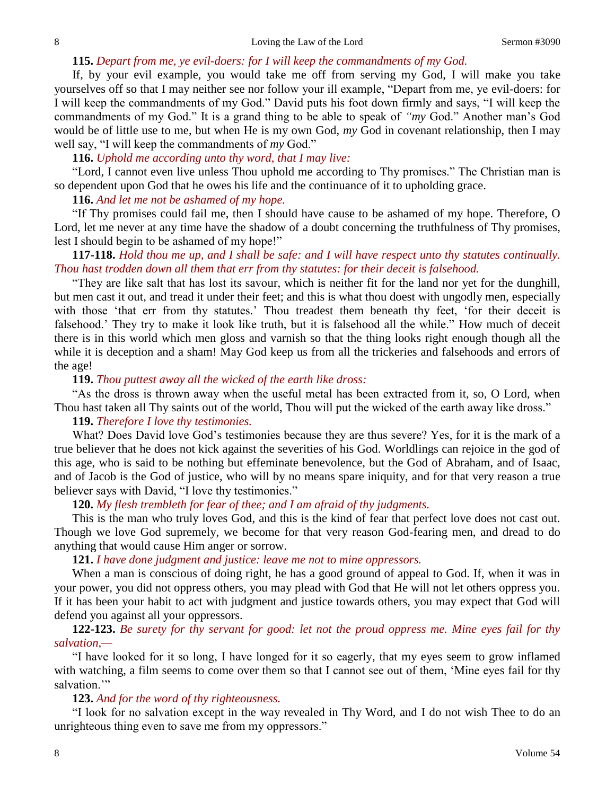#### **115.** *Depart from me, ye evil-doers: for I will keep the commandments of my God.*

If, by your evil example, you would take me off from serving my God, I will make you take yourselves off so that I may neither see nor follow your ill example, "Depart from me, ye evil-doers: for I will keep the commandments of my God." David puts his foot down firmly and says, "I will keep the commandments of my God." It is a grand thing to be able to speak of *"my* God." Another man's God would be of little use to me, but when He is my own God, *my* God in covenant relationship, then I may well say, "I will keep the commandments of *my* God."

#### **116.** *Uphold me according unto thy word, that I may live:*

"Lord, I cannot even live unless Thou uphold me according to Thy promises." The Christian man is so dependent upon God that he owes his life and the continuance of it to upholding grace.

### **116.** *And let me not be ashamed of my hope.*

"If Thy promises could fail me, then I should have cause to be ashamed of my hope. Therefore, O Lord, let me never at any time have the shadow of a doubt concerning the truthfulness of Thy promises, lest I should begin to be ashamed of my hope!"

# **117-118.** *Hold thou me up, and I shall be safe: and I will have respect unto thy statutes continually. Thou hast trodden down all them that err from thy statutes: for their deceit is falsehood.*

"They are like salt that has lost its savour, which is neither fit for the land nor yet for the dunghill, but men cast it out, and tread it under their feet; and this is what thou doest with ungodly men, especially with those 'that err from thy statutes.' Thou treadest them beneath thy feet, 'for their deceit is falsehood.' They try to make it look like truth, but it is falsehood all the while." How much of deceit there is in this world which men gloss and varnish so that the thing looks right enough though all the while it is deception and a sham! May God keep us from all the trickeries and falsehoods and errors of the age!

### **119.** *Thou puttest away all the wicked of the earth like dross:*

"As the dross is thrown away when the useful metal has been extracted from it, so, O Lord, when Thou hast taken all Thy saints out of the world, Thou will put the wicked of the earth away like dross."

#### **119.** *Therefore I love thy testimonies.*

What? Does David love God's testimonies because they are thus severe? Yes, for it is the mark of a true believer that he does not kick against the severities of his God. Worldlings can rejoice in the god of this age, who is said to be nothing but effeminate benevolence, but the God of Abraham, and of Isaac, and of Jacob is the God of justice, who will by no means spare iniquity, and for that very reason a true believer says with David, "I love thy testimonies."

# **120.** *My flesh trembleth for fear of thee; and I am afraid of thy judgments.*

This is the man who truly loves God, and this is the kind of fear that perfect love does not cast out. Though we love God supremely, we become for that very reason God-fearing men, and dread to do anything that would cause Him anger or sorrow.

# **121.** *I have done judgment and justice: leave me not to mine oppressors.*

When a man is conscious of doing right, he has a good ground of appeal to God. If, when it was in your power, you did not oppress others, you may plead with God that He will not let others oppress you. If it has been your habit to act with judgment and justice towards others, you may expect that God will defend you against all your oppressors.

# **122-123.** *Be surety for thy servant for good: let not the proud oppress me. Mine eyes fail for thy salvation,—*

"I have looked for it so long, I have longed for it so eagerly, that my eyes seem to grow inflamed with watching, a film seems to come over them so that I cannot see out of them, 'Mine eyes fail for thy salvation."

#### **123.** *And for the word of thy righteousness.*

"I look for no salvation except in the way revealed in Thy Word, and I do not wish Thee to do an unrighteous thing even to save me from my oppressors."